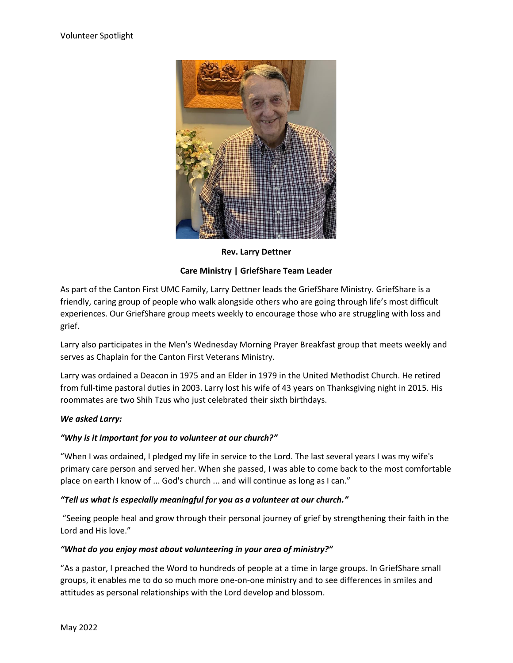

**Rev. Larry Dettner**

## **Care Ministry | GriefShare Team Leader**

As part of the Canton First UMC Family, Larry Dettner leads the GriefShare Ministry. GriefShare is a friendly, caring group of people who walk alongside others who are going through life's most difficult experiences. Our GriefShare group meets weekly to encourage those who are struggling with loss and grief.

Larry also participates in the Men's Wednesday Morning Prayer Breakfast group that meets weekly and serves as Chaplain for the Canton First Veterans Ministry.

Larry was ordained a Deacon in 1975 and an Elder in 1979 in the United Methodist Church. He retired from full-time pastoral duties in 2003. Larry lost his wife of 43 years on Thanksgiving night in 2015. His roommates are two Shih Tzus who just celebrated their sixth birthdays.

## *We asked Larry:*

## *"Why is it important for you to volunteer at our church?"*

"When I was ordained, I pledged my life in service to the Lord. The last several years I was my wife's primary care person and served her. When she passed, I was able to come back to the most comfortable place on earth I know of ... God's church ... and will continue as long as I can."

## *"Tell us what is especially meaningful for you as a volunteer at our church."*

"Seeing people heal and grow through their personal journey of grief by strengthening their faith in the Lord and His love."

## *"What do you enjoy most about volunteering in your area of ministry?"*

"As a pastor, I preached the Word to hundreds of people at a time in large groups. In GriefShare small groups, it enables me to do so much more one-on-one ministry and to see differences in smiles and attitudes as personal relationships with the Lord develop and blossom.